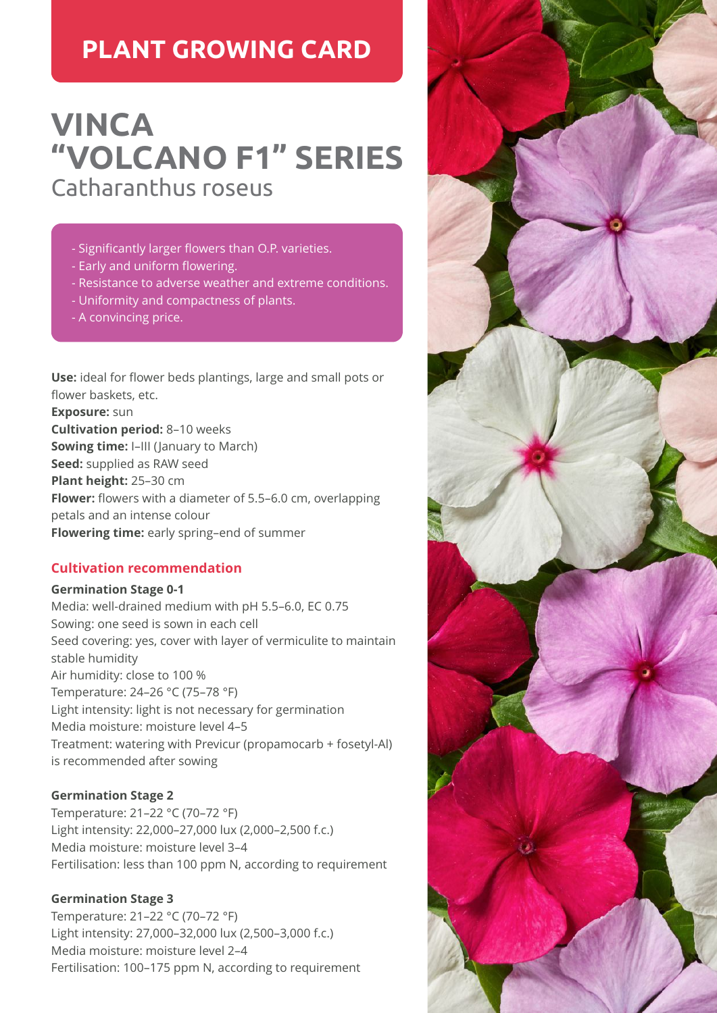## **PLANT GROWING CARD**

# **VINCA "VOLCANO F1" SERIES** Catharanthus roseus

- Significantly larger flowers than O.P. varieties.
- Early and uniform flowering.
- Resistance to adverse weather and extreme conditions.
- Uniformity and compactness of plants.
- A convincing price.

**Use:** ideal for flower beds plantings, large and small pots or flower baskets, etc. **Exposure:** sun **Cultivation period:** 8–10 weeks **Sowing time:** I–III (January to March) **Seed:** supplied as RAW seed **Plant height:** 25–30 cm **Flower:** flowers with a diameter of 5.5–6.0 cm, overlapping petals and an intense colour **Flowering time:** early spring–end of summer

## **Cultivation recommendation**

#### **Germination Stage 0-1**

Media: well-drained medium with pH 5.5–6.0, EC 0.75 Sowing: one seed is sown in each cell Seed covering: yes, cover with layer of vermiculite to maintain stable humidity Air humidity: close to 100 % Temperature: 24–26 °C (75–78 °F) Light intensity: light is not necessary for germination Media moisture: moisture level 4–5 Treatment: watering with Previcur (propamocarb + fosetyl-Al) is recommended after sowing

## **Germination Stage 2**

Temperature: 21–22 °C (70–72 °F) Light intensity: 22,000–27,000 lux (2,000–2,500 f.c.) Media moisture: moisture level 3–4 Fertilisation: less than 100 ppm N, according to requirement

## **Germination Stage 3**

Temperature: 21–22 °C (70–72 °F) Light intensity: 27,000–32,000 lux (2,500–3,000 f.c.) Media moisture: moisture level 2–4 Fertilisation: 100–175 ppm N, according to requirement